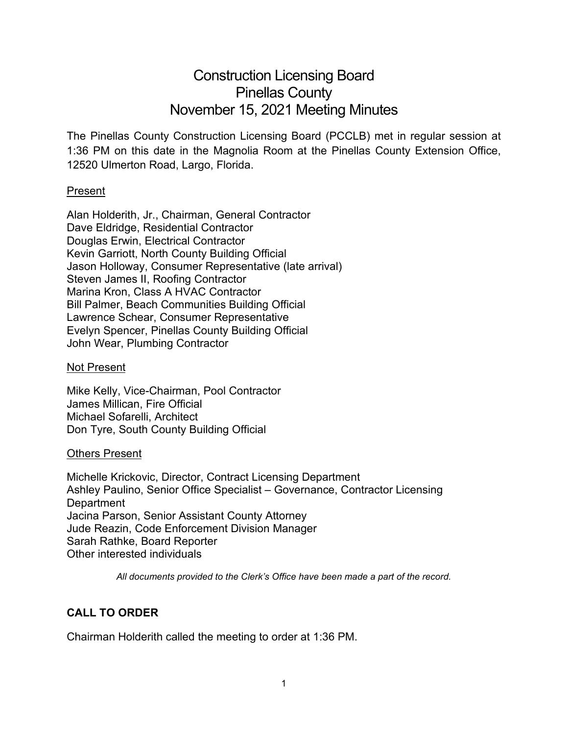# Construction Licensing Board Pinellas County November 15, 2021 Meeting Minutes

The Pinellas County Construction Licensing Board (PCCLB) met in regular session at 1:36 PM on this date in the Magnolia Room at the Pinellas County Extension Office, 12520 Ulmerton Road, Largo, Florida.

### Present

Alan Holderith, Jr., Chairman, General Contractor Dave Eldridge, Residential Contractor Douglas Erwin, Electrical Contractor Kevin Garriott, North County Building Official Jason Holloway, Consumer Representative (late arrival) Steven James II, Roofing Contractor Marina Kron, Class A HVAC Contractor Bill Palmer, Beach Communities Building Official Lawrence Schear, Consumer Representative Evelyn Spencer, Pinellas County Building Official John Wear, Plumbing Contractor

### Not Present

Mike Kelly, Vice-Chairman, Pool Contractor James Millican, Fire Official Michael Sofarelli, Architect Don Tyre, South County Building Official

### Others Present

Michelle Krickovic, Director, Contract Licensing Department Ashley Paulino, Senior Office Specialist – Governance, Contractor Licensing **Department** Jacina Parson, Senior Assistant County Attorney Jude Reazin, Code Enforcement Division Manager Sarah Rathke, Board Reporter Other interested individuals

*All documents provided to the Clerk's Office have been made a part of the record.*

# **CALL TO ORDER**

Chairman Holderith called the meeting to order at 1:36 PM.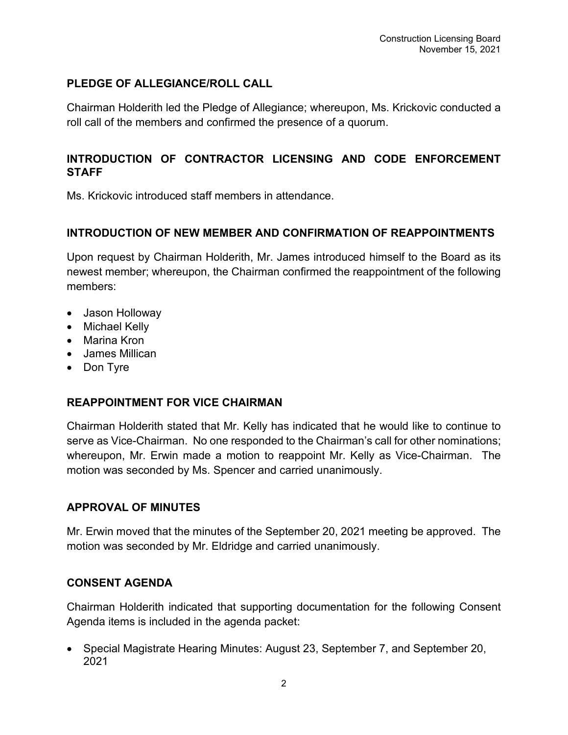# **PLEDGE OF ALLEGIANCE/ROLL CALL**

Chairman Holderith led the Pledge of Allegiance; whereupon, Ms. Krickovic conducted a roll call of the members and confirmed the presence of a quorum.

# **INTRODUCTION OF CONTRACTOR LICENSING AND CODE ENFORCEMENT STAFF**

Ms. Krickovic introduced staff members in attendance.

## **INTRODUCTION OF NEW MEMBER AND CONFIRMATION OF REAPPOINTMENTS**

Upon request by Chairman Holderith, Mr. James introduced himself to the Board as its newest member; whereupon, the Chairman confirmed the reappointment of the following members:

- Jason Holloway
- Michael Kelly
- Marina Kron
- James Millican
- Don Tyre

## **REAPPOINTMENT FOR VICE CHAIRMAN**

Chairman Holderith stated that Mr. Kelly has indicated that he would like to continue to serve as Vice-Chairman. No one responded to the Chairman's call for other nominations; whereupon, Mr. Erwin made a motion to reappoint Mr. Kelly as Vice-Chairman. The motion was seconded by Ms. Spencer and carried unanimously.

## **APPROVAL OF MINUTES**

Mr. Erwin moved that the minutes of the September 20, 2021 meeting be approved. The motion was seconded by Mr. Eldridge and carried unanimously.

## **CONSENT AGENDA**

Chairman Holderith indicated that supporting documentation for the following Consent Agenda items is included in the agenda packet:

• Special Magistrate Hearing Minutes: August 23, September 7, and September 20, 2021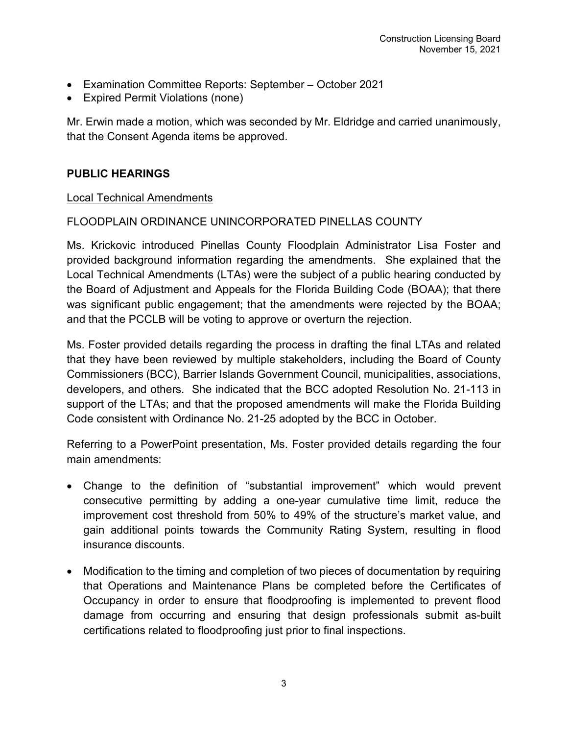- Examination Committee Reports: September October 2021
- Expired Permit Violations (none)

Mr. Erwin made a motion, which was seconded by Mr. Eldridge and carried unanimously, that the Consent Agenda items be approved.

## **PUBLIC HEARINGS**

#### Local Technical Amendments

## FLOODPLAIN ORDINANCE UNINCORPORATED PINELLAS COUNTY

Ms. Krickovic introduced Pinellas County Floodplain Administrator Lisa Foster and provided background information regarding the amendments. She explained that the Local Technical Amendments (LTAs) were the subject of a public hearing conducted by the Board of Adjustment and Appeals for the Florida Building Code (BOAA); that there was significant public engagement; that the amendments were rejected by the BOAA; and that the PCCLB will be voting to approve or overturn the rejection.

Ms. Foster provided details regarding the process in drafting the final LTAs and related that they have been reviewed by multiple stakeholders, including the Board of County Commissioners (BCC), Barrier Islands Government Council, municipalities, associations, developers, and others. She indicated that the BCC adopted Resolution No. 21-113 in support of the LTAs; and that the proposed amendments will make the Florida Building Code consistent with Ordinance No. 21-25 adopted by the BCC in October.

Referring to a PowerPoint presentation, Ms. Foster provided details regarding the four main amendments:

- Change to the definition of "substantial improvement" which would prevent consecutive permitting by adding a one-year cumulative time limit, reduce the improvement cost threshold from 50% to 49% of the structure's market value, and gain additional points towards the Community Rating System, resulting in flood insurance discounts.
- Modification to the timing and completion of two pieces of documentation by requiring that Operations and Maintenance Plans be completed before the Certificates of Occupancy in order to ensure that floodproofing is implemented to prevent flood damage from occurring and ensuring that design professionals submit as-built certifications related to floodproofing just prior to final inspections.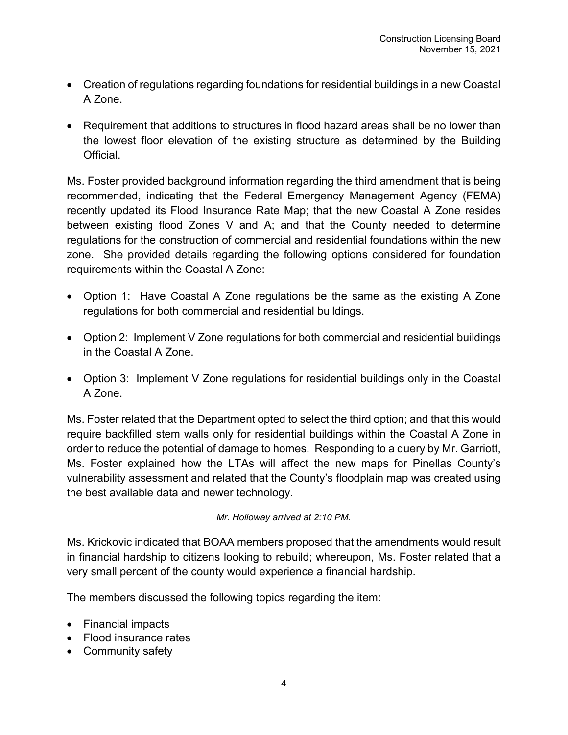- Creation of regulations regarding foundations for residential buildings in a new Coastal A Zone.
- Requirement that additions to structures in flood hazard areas shall be no lower than the lowest floor elevation of the existing structure as determined by the Building **Official**

Ms. Foster provided background information regarding the third amendment that is being recommended, indicating that the Federal Emergency Management Agency (FEMA) recently updated its Flood Insurance Rate Map; that the new Coastal A Zone resides between existing flood Zones V and A; and that the County needed to determine regulations for the construction of commercial and residential foundations within the new zone. She provided details regarding the following options considered for foundation requirements within the Coastal A Zone:

- Option 1: Have Coastal A Zone regulations be the same as the existing A Zone regulations for both commercial and residential buildings.
- Option 2: Implement V Zone regulations for both commercial and residential buildings in the Coastal A Zone.
- Option 3: Implement V Zone regulations for residential buildings only in the Coastal A Zone.

Ms. Foster related that the Department opted to select the third option; and that this would require backfilled stem walls only for residential buildings within the Coastal A Zone in order to reduce the potential of damage to homes. Responding to a query by Mr. Garriott, Ms. Foster explained how the LTAs will affect the new maps for Pinellas County's vulnerability assessment and related that the County's floodplain map was created using the best available data and newer technology.

### *Mr. Holloway arrived at 2:10 PM.*

Ms. Krickovic indicated that BOAA members proposed that the amendments would result in financial hardship to citizens looking to rebuild; whereupon, Ms. Foster related that a very small percent of the county would experience a financial hardship.

The members discussed the following topics regarding the item:

- Financial impacts
- Flood insurance rates
- Community safety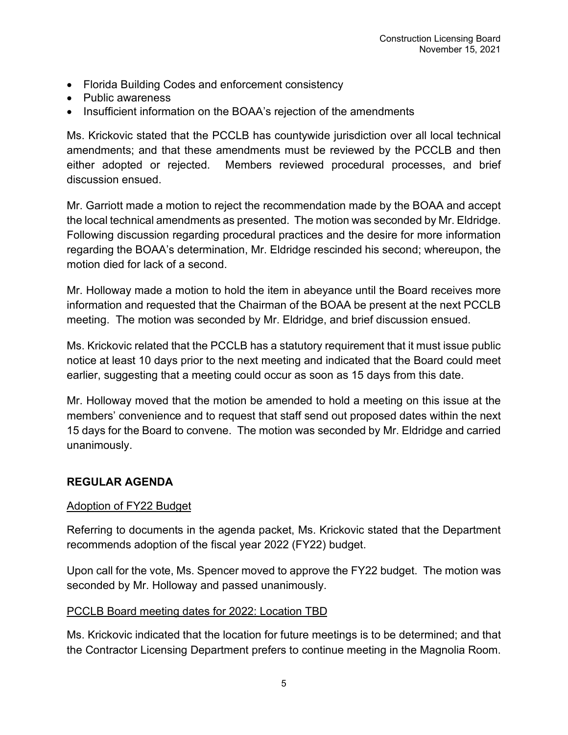- Florida Building Codes and enforcement consistency
- Public awareness
- Insufficient information on the BOAA's rejection of the amendments

Ms. Krickovic stated that the PCCLB has countywide jurisdiction over all local technical amendments; and that these amendments must be reviewed by the PCCLB and then either adopted or rejected. Members reviewed procedural processes, and brief discussion ensued.

Mr. Garriott made a motion to reject the recommendation made by the BOAA and accept the local technical amendments as presented. The motion was seconded by Mr. Eldridge. Following discussion regarding procedural practices and the desire for more information regarding the BOAA's determination, Mr. Eldridge rescinded his second; whereupon, the motion died for lack of a second.

Mr. Holloway made a motion to hold the item in abeyance until the Board receives more information and requested that the Chairman of the BOAA be present at the next PCCLB meeting. The motion was seconded by Mr. Eldridge, and brief discussion ensued.

Ms. Krickovic related that the PCCLB has a statutory requirement that it must issue public notice at least 10 days prior to the next meeting and indicated that the Board could meet earlier, suggesting that a meeting could occur as soon as 15 days from this date.

Mr. Holloway moved that the motion be amended to hold a meeting on this issue at the members' convenience and to request that staff send out proposed dates within the next 15 days for the Board to convene. The motion was seconded by Mr. Eldridge and carried unanimously.

## **REGULAR AGENDA**

## Adoption of FY22 Budget

Referring to documents in the agenda packet, Ms. Krickovic stated that the Department recommends adoption of the fiscal year 2022 (FY22) budget.

Upon call for the vote, Ms. Spencer moved to approve the FY22 budget. The motion was seconded by Mr. Holloway and passed unanimously.

## PCCLB Board meeting dates for 2022: Location TBD

Ms. Krickovic indicated that the location for future meetings is to be determined; and that the Contractor Licensing Department prefers to continue meeting in the Magnolia Room.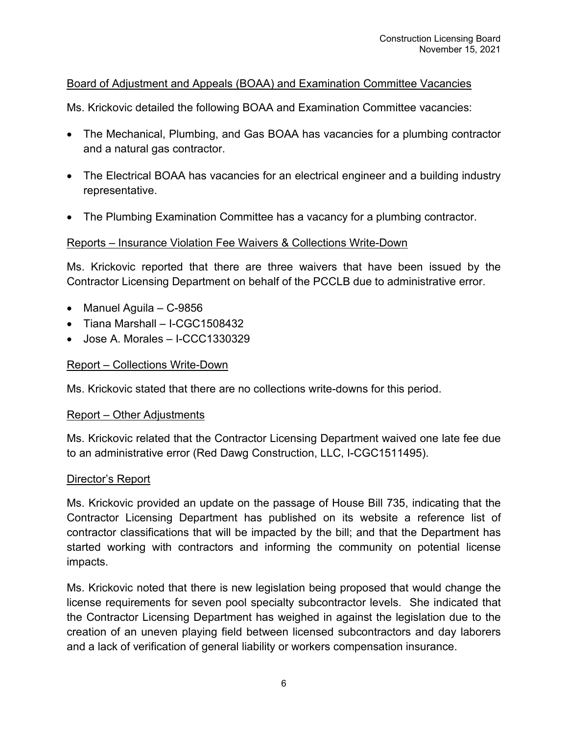## Board of Adjustment and Appeals (BOAA) and Examination Committee Vacancies

Ms. Krickovic detailed the following BOAA and Examination Committee vacancies:

- The Mechanical, Plumbing, and Gas BOAA has vacancies for a plumbing contractor and a natural gas contractor.
- The Electrical BOAA has vacancies for an electrical engineer and a building industry representative.
- The Plumbing Examination Committee has a vacancy for a plumbing contractor.

### Reports – Insurance Violation Fee Waivers & Collections Write-Down

Ms. Krickovic reported that there are three waivers that have been issued by the Contractor Licensing Department on behalf of the PCCLB due to administrative error.

- Manuel Aguila C-9856
- Tiana Marshall I-CGC1508432
- Jose A. Morales I-CCC1330329

### Report – Collections Write-Down

Ms. Krickovic stated that there are no collections write-downs for this period.

#### Report – Other Adjustments

Ms. Krickovic related that the Contractor Licensing Department waived one late fee due to an administrative error (Red Dawg Construction, LLC, I-CGC1511495).

#### Director's Report

Ms. Krickovic provided an update on the passage of House Bill 735, indicating that the Contractor Licensing Department has published on its website a reference list of contractor classifications that will be impacted by the bill; and that the Department has started working with contractors and informing the community on potential license impacts.

Ms. Krickovic noted that there is new legislation being proposed that would change the license requirements for seven pool specialty subcontractor levels. She indicated that the Contractor Licensing Department has weighed in against the legislation due to the creation of an uneven playing field between licensed subcontractors and day laborers and a lack of verification of general liability or workers compensation insurance.